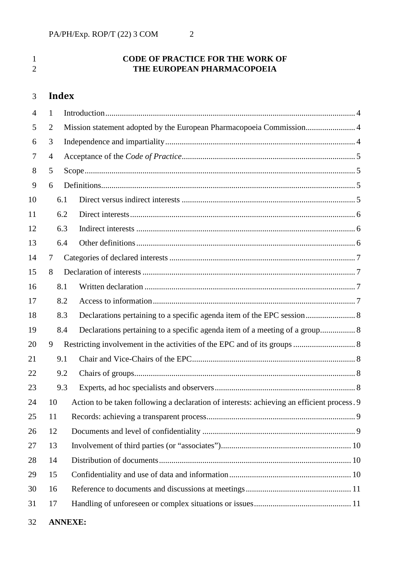## 1 **CODE OF PRACTICE FOR THE WORK OF**<br>**THE EUROPEAN PHARMACOPOEIA THE EUROPEAN PHARMACOPOEIA**

# **Index**

| $\overline{4}$ | $\mathbf{1}$   |                                                                                            |
|----------------|----------------|--------------------------------------------------------------------------------------------|
| 5              | $\overline{2}$ | Mission statement adopted by the European Pharmacopoeia Commission 4                       |
| 6              | 3              |                                                                                            |
| 7              | $\overline{4}$ |                                                                                            |
| 8              | 5              |                                                                                            |
| 9              | 6              |                                                                                            |
| 10             |                | 6.1                                                                                        |
| 11             |                | 6.2                                                                                        |
| 12             |                | 6.3                                                                                        |
| 13             |                | 6.4                                                                                        |
| 14             | 7              |                                                                                            |
| 15             | 8              |                                                                                            |
| 16             |                | 8.1                                                                                        |
| 17             |                | 8.2                                                                                        |
| 18             |                | Declarations pertaining to a specific agenda item of the EPC session 8<br>8.3              |
| 19             |                | Declarations pertaining to a specific agenda item of a meeting of a group 8<br>8.4         |
| 20             | 9              |                                                                                            |
| 21             |                | 9.1                                                                                        |
| 22             |                | 9.2                                                                                        |
| 23             |                | 9.3                                                                                        |
| 24             | 10             | Action to be taken following a declaration of interests: achieving an efficient process. 9 |
| 25             | 11             |                                                                                            |
| 26             | 12             |                                                                                            |
| 27             | 13             |                                                                                            |
| 28             | 14             |                                                                                            |
| 29             | 15             |                                                                                            |
| 30             | 16             |                                                                                            |
| 31             | 17             |                                                                                            |
|                |                |                                                                                            |

**ANNEXE:**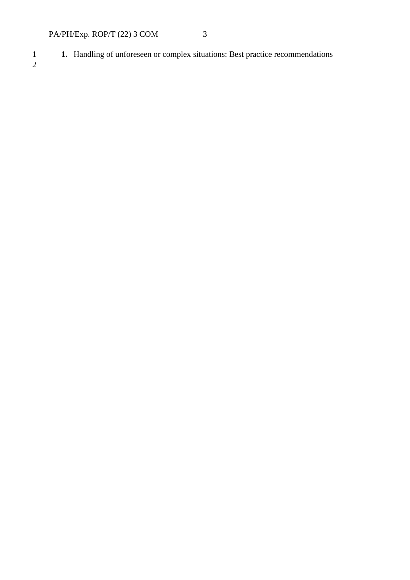1 **1.** Handling of unforeseen or complex situations: Best practice recommendations

 $\frac{1}{2}$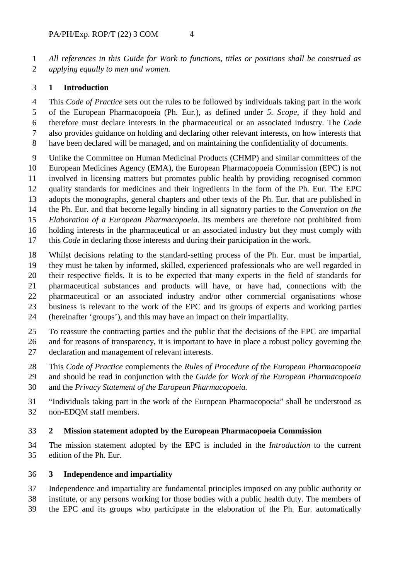*All references in this Guide for Work to functions, titles or positions shall be construed as applying equally to men and women.*

#### <span id="page-2-0"></span>**1 Introduction**

 This *Code of Practice* sets out the rules to be followed by individuals taking part in the work of the European Pharmacopoeia (Ph. Eur.), as defined under *5. Scope*, if they hold and therefore must declare interests in the pharmaceutical or an associated industry. The *Code* also provides guidance on holding and declaring other relevant interests, on how interests that

- have been declared will be managed, and on maintaining the confidentiality of documents.
- Unlike the Committee on Human Medicinal Products (CHMP) and similar committees of the European Medicines Agency (EMA), the European Pharmacopoeia Commission (EPC) is not involved in licensing matters but promotes public health by providing recognised common quality standards for medicines and their ingredients in the form of the Ph. Eur. The EPC adopts the monographs, general chapters and other texts of the Ph. Eur. that are published in the Ph. Eur. and that become legally binding in all signatory parties to the *Convention on the Elaboration of a European Pharmacopoeia*. Its members are therefore not prohibited from holding interests in the pharmaceutical or an associated industry but they must comply with this *Code* in declaring those interests and during their participation in the work.
- Whilst decisions relating to the standard-setting process of the Ph. Eur. must be impartial, they must be taken by informed, skilled, experienced professionals who are well regarded in their respective fields. It is to be expected that many experts in the field of standards for pharmaceutical substances and products will have, or have had, connections with the pharmaceutical or an associated industry and/or other commercial organisations whose business is relevant to the work of the EPC and its groups of experts and working parties (hereinafter 'groups'), and this may have an impact on their impartiality.
- To reassure the contracting parties and the public that the decisions of the EPC are impartial and for reasons of transparency, it is important to have in place a robust policy governing the declaration and management of relevant interests.
- This *Code of Practice* complements the *Rules of Procedure of the European Pharmacopoeia*
- and should be read in conjunction with the *Guide for Work of the European Pharmacopoeia*
- and the *Privacy Statement of the European Pharmacopoeia.*
- "Individuals taking part in the work of the European Pharmacopoeia" shall be understood as non-EDQM staff members.

#### <span id="page-2-1"></span>**2 Mission statement adopted by the European Pharmacopoeia Commission**

 The mission statement adopted by the EPC is included in the *Introduction* to the current edition of the Ph. Eur.

#### <span id="page-2-2"></span>**3 Independence and impartiality**

- Independence and impartiality are fundamental principles imposed on any public authority or institute, or any persons working for those bodies with a public health duty. The members of
- the EPC and its groups who participate in the elaboration of the Ph. Eur. automatically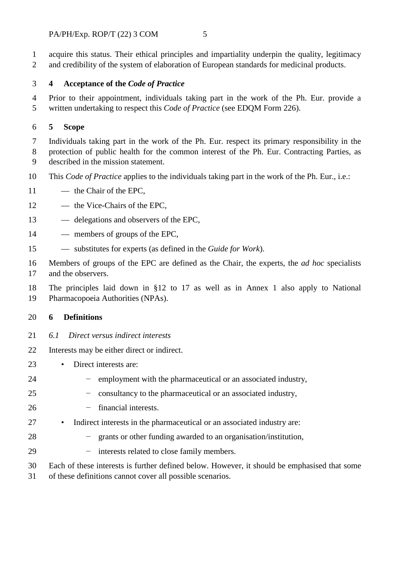acquire this status. Their ethical principles and impartiality underpin the quality, legitimacy and credibility of the system of elaboration of European standards for medicinal products.

## <span id="page-3-0"></span>**4 Acceptance of the** *Code of Practice*

 Prior to their appointment, individuals taking part in the work of the Ph. Eur. provide a written undertaking to respect this *Code of Practice* (see EDQM Form 226).

## <span id="page-3-1"></span>**5 Scope**

 Individuals taking part in the work of the Ph. Eur. respect its primary responsibility in the protection of public health for the common interest of the Ph. Eur. Contracting Parties, as described in the mission statement.

- This *Code of Practice* applies to the individuals taking part in the work of the Ph. Eur., i.e.:
- 11 the Chair of the EPC,
- 12 the Vice-Chairs of the EPC,
- delegations and observers of the EPC,
- members of groups of the EPC,
- substitutes for experts (as defined in the *Guide for Work*).

 Members of groups of the EPC are defined as the Chair, the experts, the *ad hoc* specialists and the observers.

The principles laid down in §12 to 17 as well as in Annex 1 also apply to National

<span id="page-3-2"></span>Pharmacopoeia Authorities (NPAs).

## **6 Definitions**

- <span id="page-3-3"></span>*6.1 Direct versus indirect interests*
- Interests may be either direct or indirect.
- Direct interests are:
- 24 employment with the pharmaceutical or an associated industry,
- 25 − consultancy to the pharmaceutical or an associated industry,
- 26 − financial interests.
- Indirect interests in the pharmaceutical or an associated industry are:
- 28  $-$  grants or other funding awarded to an organisation/institution,
- 29 − interests related to close family members.
- Each of these interests is further defined below. However, it should be emphasised that some
- of these definitions cannot cover all possible scenarios.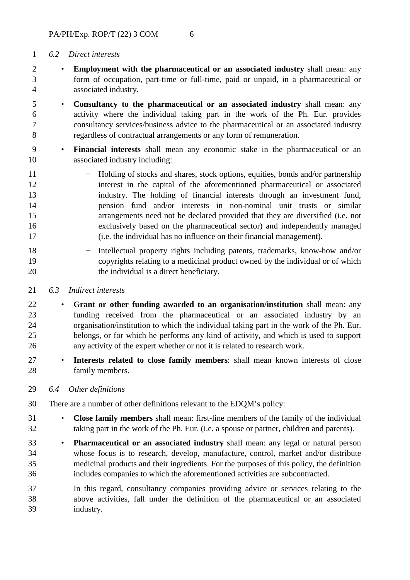## <span id="page-4-0"></span>*6.2 Direct interests*

- **Employment with the pharmaceutical or an associated industry** shall mean: any form of occupation, part-time or full-time, paid or unpaid, in a pharmaceutical or associated industry.
- **Consultancy to the pharmaceutical or an associated industry** shall mean: any activity where the individual taking part in the work of the Ph. Eur. provides consultancy services/business advice to the pharmaceutical or an associated industry regardless of contractual arrangements or any form of remuneration.
- **Financial interests** shall mean any economic stake in the pharmaceutical or an associated industry including:
- − Holding of stocks and shares, stock options, equities, bonds and/or partnership interest in the capital of the aforementioned pharmaceutical or associated industry. The holding of financial interests through an investment fund, pension fund and/or interests in non-nominal unit trusts or similar arrangements need not be declared provided that they are diversified (i.e. not exclusively based on the pharmaceutical sector) and independently managed (i.e. the individual has no influence on their financial management).
- − Intellectual property rights including patents, trademarks, know-how and/or copyrights relating to a medicinal product owned by the individual or of which 20 the individual is a direct beneficiary.
- <span id="page-4-1"></span>*6.3 Indirect interests*
- **Grant or other funding awarded to an organisation/institution** shall mean: any funding received from the pharmaceutical or an associated industry by an organisation/institution to which the individual taking part in the work of the Ph. Eur. belongs, or for which he performs any kind of activity, and which is used to support any activity of the expert whether or not it is related to research work.
- **Interests related to close family members**: shall mean known interests of close family members.
- <span id="page-4-2"></span>*6.4 Other definitions*
- There are a number of other definitions relevant to the EDQM's policy:
- **Close family members** shall mean: first-line members of the family of the individual taking part in the work of the Ph. Eur. (i.e. a spouse or partner, children and parents).
- **Pharmaceutical or an associated industry** shall mean: any legal or natural person whose focus is to research, develop, manufacture, control, market and/or distribute medicinal products and their ingredients. For the purposes of this policy, the definition includes companies to which the aforementioned activities are subcontracted.
- In this regard, consultancy companies providing advice or services relating to the above activities, fall under the definition of the pharmaceutical or an associated industry.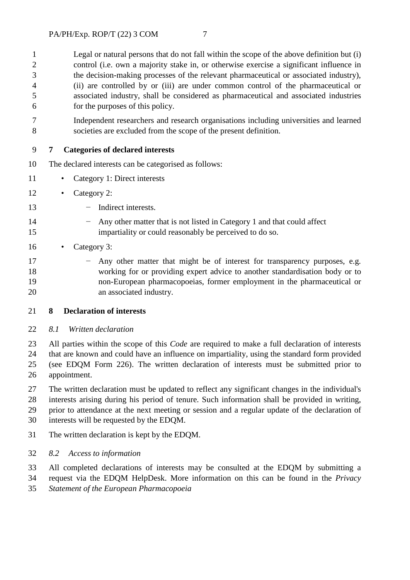Legal or natural persons that do not fall within the scope of the above definition but (i) control (i.e. own a majority stake in, or otherwise exercise a significant influence in the decision-making processes of the relevant pharmaceutical or associated industry), (ii) are controlled by or (iii) are under common control of the pharmaceutical or associated industry, shall be considered as pharmaceutical and associated industries for the purposes of this policy.

 Independent researchers and research organisations including universities and learned societies are excluded from the scope of the present definition.

## <span id="page-5-0"></span>**7 Categories of declared interests**

- The declared interests can be categorised as follows:
- Category 1: Direct interests
- Category 2:
- − Indirect interests.
- − Any other matter that is not listed in Category 1 and that could affect impartiality or could reasonably be perceived to do so.
- Category 3:
- 17 − Any other matter that might be of interest for transparency purposes, e.g. working for or providing expert advice to another standardisation body or to non-European pharmacopoeias, former employment in the pharmaceutical or an associated industry.
- <span id="page-5-1"></span>**8 Declaration of interests**
- <span id="page-5-2"></span>*8.1 Written declaration*

 All parties within the scope of this *Code* are required to make a full declaration of interests that are known and could have an influence on impartiality, using the standard form provided (see EDQM Form 226). The written declaration of interests must be submitted prior to appointment.

 The written declaration must be updated to reflect any significant changes in the individual's interests arising during his period of tenure. Such information shall be provided in writing, prior to attendance at the next meeting or session and a regular update of the declaration of

- interests will be requested by the EDQM.
- <span id="page-5-3"></span>The written declaration is kept by the EDQM.
- *8.2 Access to information*
- All completed declarations of interests may be consulted at the EDQM by submitting a
- request via the EDQM HelpDesk. More information on this can be found in the *Privacy Statement of the European Pharmacopoeia*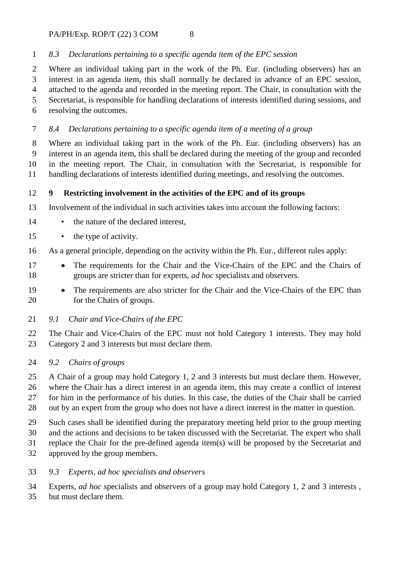$PA/PH/Exp$ . ROP/T (22) 3 COM 8

## <span id="page-6-0"></span>*8.3 Declarations pertaining to a specific agenda item of the EPC session*

 Where an individual taking part in the work of the Ph. Eur. (including observers) has an interest in an agenda item, this shall normally be declared in advance of an EPC session, attached to the agenda and recorded in the meeting report. The Chair, in consultation with the Secretariat, is responsible for handling declarations of interests identified during sessions, and resolving the outcomes.

## <span id="page-6-1"></span>*8.4 Declarations pertaining to a specific agenda item of a meeting of a group*

 Where an individual taking part in the work of the Ph. Eur. (including observers) has an interest in an agenda item, this shall be declared during the meeting of the group and recorded in the meeting report. The Chair, in consultation with the Secretariat, is responsible for handling declarations of interests identified during meetings, and resolving the outcomes.

## <span id="page-6-2"></span>**9 Restricting involvement in the activities of the EPC and of its groups**

Involvement of the individual in such activities takes into account the following factors:

- 14 the nature of the declared interest,
- the type of activity.
- As a general principle, depending on the activity within the Ph. Eur., different rules apply:
- The requirements for the Chair and the Vice-Chairs of the EPC and the Chairs of groups are stricter than for experts, *ad hoc* specialists and observers.
- The requirements are also stricter for the Chair and the Vice-Chairs of the EPC than for the Chairs of groups.
- <span id="page-6-3"></span>*9.1 Chair and Vice-Chairs of the EPC*

 The Chair and Vice-Chairs of the EPC must not hold Category 1 interests. They may hold Category 2 and 3 interests but must declare them.

<span id="page-6-4"></span>*9.2 Chairs of groups* 

 A Chair of a group may hold Category 1, 2 and 3 interests but must declare them. However, where the Chair has a direct interest in an agenda item, this may create a conflict of interest for him in the performance of his duties. In this case, the duties of the Chair shall be carried out by an expert from the group who does not have a direct interest in the matter in question.

Such cases shall be identified during the preparatory meeting held prior to the group meeting

and the actions and decisions to be taken discussed with the Secretariat. The expert who shall

replace the Chair for the pre-defined agenda item(s) will be proposed by the Secretariat and

approved by the group members.

## <span id="page-6-5"></span>*9.3 Experts, ad hoc specialists and observers*

Experts, *ad hoc* specialists and observers of a group may hold Category 1, 2 and 3 interests ,

but must declare them.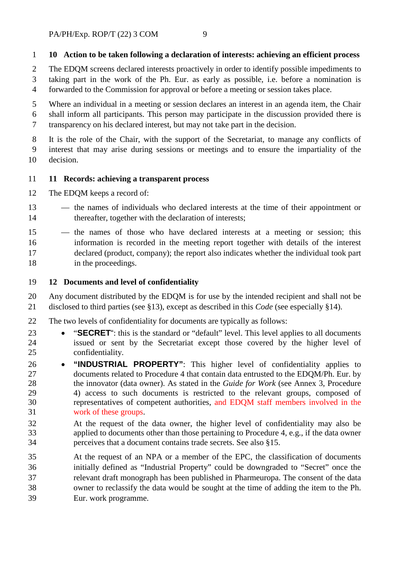## <span id="page-7-0"></span>**10 Action to be taken following a declaration of interests: achieving an efficient process**

 The EDQM screens declared interests proactively in order to identify possible impediments to taking part in the work of the Ph. Eur. as early as possible, i.e. before a nomination is forwarded to the Commission for approval or before a meeting or session takes place.

 Where an individual in a meeting or session declares an interest in an agenda item, the Chair shall inform all participants. This person may participate in the discussion provided there is transparency on his declared interest, but may not take part in the decision.

 It is the role of the Chair, with the support of the Secretariat, to manage any conflicts of interest that may arise during sessions or meetings and to ensure the impartiality of the decision.

#### <span id="page-7-1"></span>**11 Records: achieving a transparent process**

The EDQM keeps a record of:

- the names of individuals who declared interests at the time of their appointment or thereafter, together with the declaration of interests;
- the names of those who have declared interests at a meeting or session; this information is recorded in the meeting report together with details of the interest declared (product, company); the report also indicates whether the individual took part 18 in the proceedings.

## <span id="page-7-2"></span>**12 Documents and level of confidentiality**

 Any document distributed by the EDQM is for use by the intended recipient and shall not be disclosed to third parties (see §13), except as described in this *Code* (see especially §14).

- The two levels of confidentiality for documents are typically as follows:
- "**SECRET**": this is the standard or "default" level. This level applies to all documents issued or sent by the Secretariat except those covered by the higher level of confidentiality.
- **"INDUSTRIAL PROPERTY"**: This higher level of confidentiality applies to documents related to Procedure 4 that contain data entrusted to the EDQM/Ph. Eur. by the innovator (data owner). As stated in the *Guide for Work* (see Annex 3, Procedure 4) access to such documents is restricted to the relevant groups, composed of representatives of competent authorities, and EDQM staff members involved in the work of these groups.
- At the request of the data owner, the higher level of confidentiality may also be applied to documents other than those pertaining to Procedure 4, e.g., if the data owner perceives that a document contains trade secrets. See also §15.
- At the request of an NPA or a member of the EPC, the classification of documents initially defined as "Industrial Property" could be downgraded to "Secret" once the relevant draft monograph has been published in Pharmeuropa. The consent of the data owner to reclassify the data would be sought at the time of adding the item to the Ph. Eur. work programme.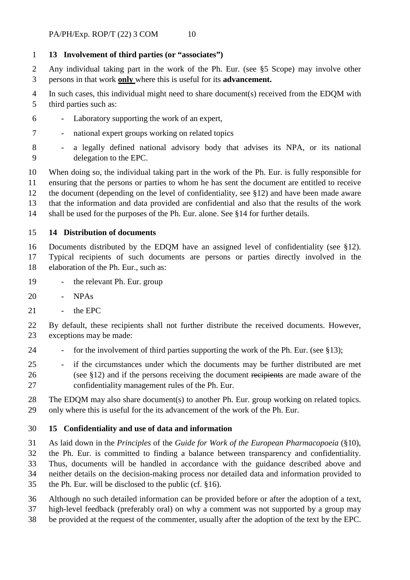## <span id="page-8-0"></span>**13 Involvement of third parties (or "associates")**

 Any individual taking part in the work of the Ph. Eur. (see §5 Scope) may involve other persons in that work **only** where this is useful for its **advancement.**

 In such cases, this individual might need to share document(s) received from the EDQM with third parties such as:

- Laboratory supporting the work of an expert,
- national expert groups working on related topics

 When doing so, the individual taking part in the work of the Ph. Eur. is fully responsible for ensuring that the persons or parties to whom he has sent the document are entitled to receive the document (depending on the level of confidentiality, see §12) and have been made aware that the information and data provided are confidential and also that the results of the work shall be used for the purposes of the Ph. Eur. alone. See §14 for further details.

#### <span id="page-8-1"></span>**14 Distribution of documents**

 Documents distributed by the EDQM have an assigned level of confidentiality (see §12). Typical recipients of such documents are persons or parties directly involved in the

- elaboration of the Ph. Eur., such as:
- the relevant Ph. Eur. group
- NPAs
- the EPC
- By default, these recipients shall not further distribute the received documents. However, exceptions may be made:
- 24 for the involvement of third parties supporting the work of the Ph. Eur. (see §13);
- if the circumstances under which the documents may be further distributed are met (see §12) and if the persons receiving the document recipients are made aware of the confidentiality management rules of the Ph. Eur.
- The EDQM may also share document(s) to another Ph. Eur. group working on related topics. only where this is useful for the its advancement of the work of the Ph. Eur.

#### <span id="page-8-2"></span>**15 Confidentiality and use of data and information**

As laid down in the *Principles* of the *Guide for Work of the European Pharmacopoeia* (§10),

- the Ph. Eur. is committed to finding a balance between transparency and confidentiality. Thus, documents will be handled in accordance with the guidance described above and
- neither details on the decision-making process nor detailed data and information provided to
- the Ph. Eur. will be disclosed to the public (cf. §16).
- Although no such detailed information can be provided before or after the adoption of a text,
- high-level feedback (preferably oral) on why a comment was not supported by a group may
- be provided at the request of the commenter, usually after the adoption of the text by the EPC.

 - a legally defined national advisory body that advises its NPA, or its national delegation to the EPC.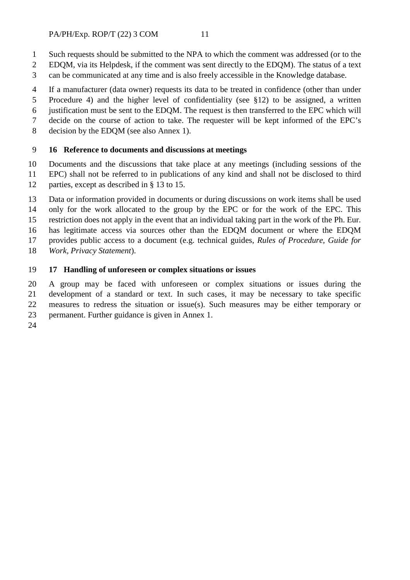- Such requests should be submitted to the NPA to which the comment was addressed (or to the
- EDQM, via its Helpdesk, if the comment was sent directly to the EDQM). The status of a text
- can be communicated at any time and is also freely accessible in the Knowledge database.
- If a manufacturer (data owner) requests its data to be treated in confidence (other than under
- Procedure 4) and the higher level of confidentiality (see §12) to be assigned, a written
- justification must be sent to the EDQM. The request is then transferred to the EPC which will
- decide on the course of action to take. The requester will be kept informed of the EPC's
- <span id="page-9-0"></span>decision by the EDQM (see also Annex 1).

## **16 Reference to documents and discussions at meetings**

 Documents and the discussions that take place at any meetings (including sessions of the EPC) shall not be referred to in publications of any kind and shall not be disclosed to third 12 parties, except as described in § 13 to 15.

 Data or information provided in documents or during discussions on work items shall be used only for the work allocated to the group by the EPC or for the work of the EPC. This

restriction does not apply in the event that an individual taking part in the work of the Ph. Eur.

has legitimate access via sources other than the EDQM document or where the EDQM

provides public access to a document (e.g. technical guides, *Rules of Procedure, Guide for* 

*Work, Privacy Statement*).

## <span id="page-9-1"></span>**17 Handling of unforeseen or complex situations or issues**

 A group may be faced with unforeseen or complex situations or issues during the development of a standard or text. In such cases, it may be necessary to take specific measures to redress the situation or issue(s). Such measures may be either temporary or permanent. Further guidance is given in Annex 1.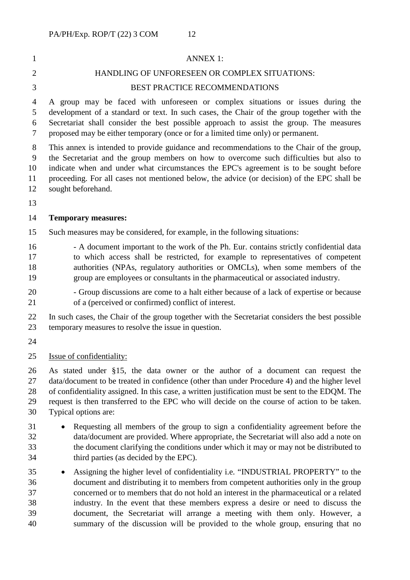# ANNEX 1: HANDLING OF UNFORESEEN OR COMPLEX SITUATIONS: BEST PRACTICE RECOMMENDATIONS

 A group may be faced with unforeseen or complex situations or issues during the development of a standard or text. In such cases, the Chair of the group together with the Secretariat shall consider the best possible approach to assist the group. The measures proposed may be either temporary (once or for a limited time only) or permanent.

 This annex is intended to provide guidance and recommendations to the Chair of the group, the Secretariat and the group members on how to overcome such difficulties but also to indicate when and under what circumstances the EPC's agreement is to be sought before proceeding. For all cases not mentioned below, the advice (or decision) of the EPC shall be sought beforehand.

#### **Temporary measures:**

Such measures may be considered, for example, in the following situations:

- A document important to the work of the Ph. Eur. contains strictly confidential data to which access shall be restricted, for example to representatives of competent authorities (NPAs, regulatory authorities or OMCLs), when some members of the group are employees or consultants in the pharmaceutical or associated industry.
- Group discussions are come to a halt either because of a lack of expertise or because of a (perceived or confirmed) conflict of interest.

 In such cases, the Chair of the group together with the Secretariat considers the best possible temporary measures to resolve the issue in question.

- 
- Issue of confidentiality:

 As stated under §15, the data owner or the author of a document can request the 27 data/document to be treated in confidence (other than under Procedure 4) and the higher level of confidentiality assigned. In this case, a written justification must be sent to the EDQM. The request is then transferred to the EPC who will decide on the course of action to be taken. Typical options are:

- Requesting all members of the group to sign a confidentiality agreement before the data/document are provided. Where appropriate, the Secretariat will also add a note on the document clarifying the conditions under which it may or may not be distributed to third parties (as decided by the EPC).
- Assigning the higher level of confidentiality i.e. "INDUSTRIAL PROPERTY" to the document and distributing it to members from competent authorities only in the group concerned or to members that do not hold an interest in the pharmaceutical or a related industry. In the event that these members express a desire or need to discuss the document, the Secretariat will arrange a meeting with them only. However, a summary of the discussion will be provided to the whole group, ensuring that no